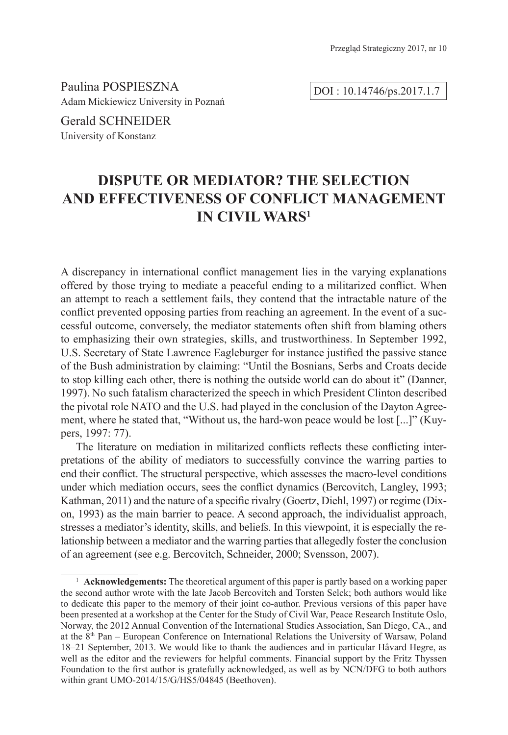Paulina POSPIESZNA Adam Mickiewicz University in Poznań

DOI : 10.14746/ps.2017.1.7

Gerald SCHNEIDER University of Konstanz

# **DISPUTE OR MEDIATOR? THE SELECTION AND EFFECTIVENESS OF CONFLICT MANAGEMENT IN CIVIL WARS1**

A discrepancy in international conflict management lies in the varying explanations offered by those trying to mediate a peaceful ending to a militarized conflict. When an attempt to reach a settlement fails, they contend that the intractable nature of the conflict prevented opposing parties from reaching an agreement. In the event of a successful outcome, conversely, the mediator statements often shift from blaming others to emphasizing their own strategies, skills, and trustworthiness. In September 1992, U.S. Secretary of State Lawrence Eagleburger for instance justified the passive stance of the Bush administration by claiming: "Until the Bosnians, Serbs and Croats decide to stop killing each other, there is nothing the outside world can do about it" (Danner, 1997). No such fatalism characterized the speech in which President Clinton described the pivotal role NATO and the U.S. had played in the conclusion of the Dayton Agreement, where he stated that, "Without us, the hard-won peace would be lost [...]" (Kuypers, 1997: 77).

The literature on mediation in militarized conflicts reflects these conflicting interpretations of the ability of mediators to successfully convince the warring parties to end their conflict. The structural perspective, which assesses the macro-level conditions under which mediation occurs, sees the conflict dynamics (Bercovitch, Langley, 1993; Kathman, 2011) and the nature of a specific rivalry (Goertz, Diehl, 1997) or regime (Dixon, 1993) as the main barrier to peace. A second approach, the individualist approach, stresses a mediator's identity, skills, and beliefs. In this viewpoint, it is especially the relationship between a mediator and the warring parties that allegedly foster the conclusion of an agreement (see e.g. Bercovitch, Schneider, 2000; Svensson, 2007).

<sup>1</sup> **Acknowledgements:** The theoretical argument of this paper is partly based on a working paper the second author wrote with the late Jacob Bercovitch and Torsten Selck; both authors would like to dedicate this paper to the memory of their joint co-author. Previous versions of this paper have been presented at a workshop at the Center for the Study of Civil War, Peace Research Institute Oslo, Norway, the 2012 Annual Convention of the International Studies Association, San Diego, CA., and at the 8th Pan – European Conference on International Relations the University of Warsaw, Poland 18–21 September, 2013. We would like to thank the audiences and in particular Håvard Hegre, as well as the editor and the reviewers for helpful comments. Financial support by the Fritz Thyssen Foundation to the first author is gratefully acknowledged, as well as by NCN/DFG to both authors within grant UMO-2014/15/G/HS5/04845 (Beethoven).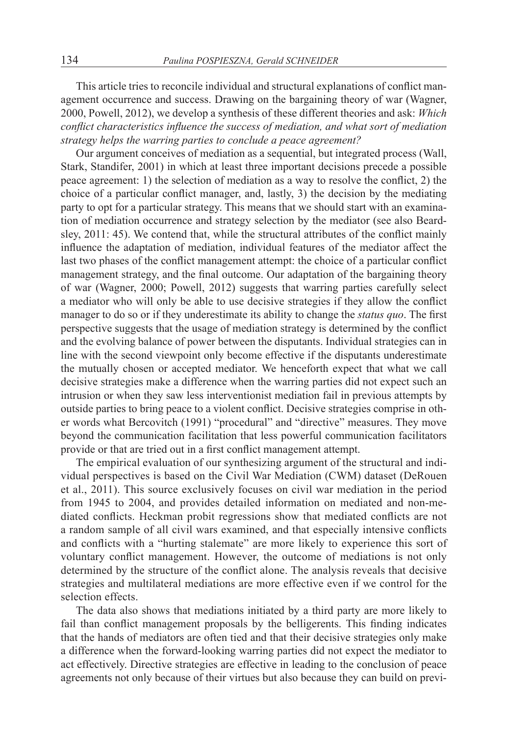This article tries to reconcile individual and structural explanations of conflict management occurrence and success. Drawing on the bargaining theory of war (Wagner, 2000, Powell, 2012), we develop a synthesis of these different theories and ask: *Which conflict characteristics influence the success of mediation, and what sort of mediation strategy helps the warring parties to conclude a peace agreement?*

Our argument conceives of mediation as a sequential, but integrated process (Wall, Stark, Standifer, 2001) in which at least three important decisions precede a possible peace agreement: 1) the selection of mediation as a way to resolve the conflict, 2) the choice of a particular conflict manager, and, lastly, 3) the decision by the mediating party to opt for a particular strategy. This means that we should start with an examination of mediation occurrence and strategy selection by the mediator (see also Beardsley, 2011: 45). We contend that, while the structural attributes of the conflict mainly influence the adaptation of mediation, individual features of the mediator affect the last two phases of the conflict management attempt: the choice of a particular conflict management strategy, and the final outcome. Our adaptation of the bargaining theory of war (Wagner, 2000; Powell, 2012) suggests that warring parties carefully select a mediator who will only be able to use decisive strategies if they allow the conflict manager to do so or if they underestimate its ability to change the *status quo*. The first perspective suggests that the usage of mediation strategy is determined by the conflict and the evolving balance of power between the disputants. Individual strategies can in line with the second viewpoint only become effective if the disputants underestimate the mutually chosen or accepted mediator. We henceforth expect that what we call decisive strategies make a difference when the warring parties did not expect such an intrusion or when they saw less interventionist mediation fail in previous attempts by outside parties to bring peace to a violent conflict. Decisive strategies comprise in other words what Bercovitch (1991) "procedural" and "directive" measures. They move beyond the communication facilitation that less powerful communication facilitators provide or that are tried out in a first conflict management attempt.

The empirical evaluation of our synthesizing argument of the structural and individual perspectives is based on the Civil War Mediation (CWM) dataset (DeRouen et al., 2011). This source exclusively focuses on civil war mediation in the period from 1945 to 2004, and provides detailed information on mediated and non-mediated conflicts. Heckman probit regressions show that mediated conflicts are not a random sample of all civil wars examined, and that especially intensive conflicts and conflicts with a "hurting stalemate" are more likely to experience this sort of voluntary conflict management. However, the outcome of mediations is not only determined by the structure of the conflict alone. The analysis reveals that decisive strategies and multilateral mediations are more effective even if we control for the selection effects.

The data also shows that mediations initiated by a third party are more likely to fail than conflict management proposals by the belligerents. This finding indicates that the hands of mediators are often tied and that their decisive strategies only make a difference when the forward-looking warring parties did not expect the mediator to act effectively. Directive strategies are effective in leading to the conclusion of peace agreements not only because of their virtues but also because they can build on previ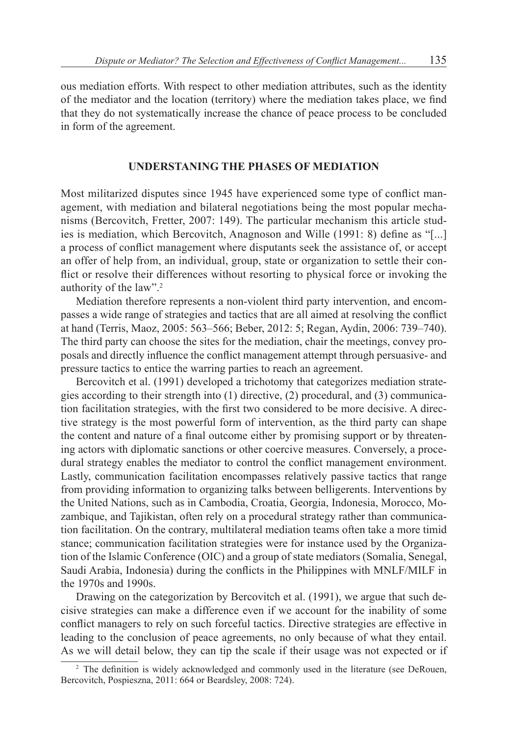ous mediation efforts. With respect to other mediation attributes, such as the identity of the mediator and the location (territory) where the mediation takes place, we find that they do not systematically increase the chance of peace process to be concluded in form of the agreement.

#### **UNDERSTANING THE PHASES OF MEDIATION**

Most militarized disputes since 1945 have experienced some type of conflict management, with mediation and bilateral negotiations being the most popular mechanisms (Bercovitch, Fretter, 2007: 149). The particular mechanism this article studies is mediation, which Bercovitch, Anagnoson and Wille (1991: 8) define as "[...] a process of conflict management where disputants seek the assistance of, or accept an offer of help from, an individual, group, state or organization to settle their conflict or resolve their differences without resorting to physical force or invoking the authority of the law".<sup>2</sup>

Mediation therefore represents a non-violent third party intervention, and encompasses a wide range of strategies and tactics that are all aimed at resolving the conflict at hand (Terris, Maoz, 2005: 563–566; Beber, 2012: 5; Regan, Aydin, 2006: 739–740). The third party can choose the sites for the mediation, chair the meetings, convey proposals and directly influence the conflict management attempt through persuasive- and pressure tactics to entice the warring parties to reach an agreement.

Bercovitch et al. (1991) developed a trichotomy that categorizes mediation strategies according to their strength into (1) directive, (2) procedural, and (3) communication facilitation strategies, with the first two considered to be more decisive. A directive strategy is the most powerful form of intervention, as the third party can shape the content and nature of a final outcome either by promising support or by threatening actors with diplomatic sanctions or other coercive measures. Conversely, a procedural strategy enables the mediator to control the conflict management environment. Lastly, communication facilitation encompasses relatively passive tactics that range from providing information to organizing talks between belligerents. Interventions by the United Nations, such as in Cambodia, Croatia, Georgia, Indonesia, Morocco, Mozambique, and Tajikistan, often rely on a procedural strategy rather than communication facilitation. On the contrary, multilateral mediation teams often take a more timid stance; communication facilitation strategies were for instance used by the Organization of the Islamic Conference (OIC) and a group of state mediators (Somalia, Senegal, Saudi Arabia, Indonesia) during the conflicts in the Philippines with MNLF/MILF in the 1970s and 1990s.

Drawing on the categorization by Bercovitch et al. (1991), we argue that such decisive strategies can make a difference even if we account for the inability of some conflict managers to rely on such forceful tactics. Directive strategies are effective in leading to the conclusion of peace agreements, no only because of what they entail. As we will detail below, they can tip the scale if their usage was not expected or if

<sup>&</sup>lt;sup>2</sup> The definition is widely acknowledged and commonly used in the literature (see DeRouen, Bercovitch, Pospieszna, 2011: 664 or Beardsley, 2008: 724).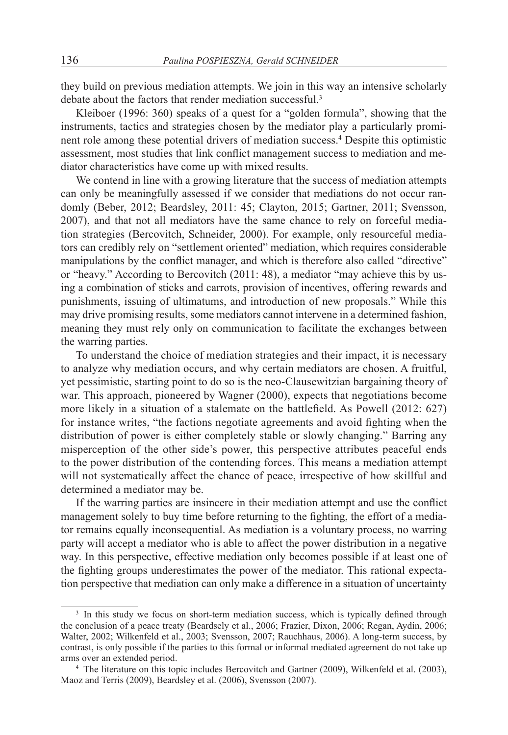they build on previous mediation attempts. We join in this way an intensive scholarly debate about the factors that render mediation successful.<sup>3</sup>

Kleiboer (1996: 360) speaks of a quest for a "golden formula", showing that the instruments, tactics and strategies chosen by the mediator play a particularly prominent role among these potential drivers of mediation success.<sup>4</sup> Despite this optimistic assessment, most studies that link conflict management success to mediation and mediator characteristics have come up with mixed results.

We contend in line with a growing literature that the success of mediation attempts can only be meaningfully assessed if we consider that mediations do not occur randomly (Beber, 2012; Beardsley, 2011: 45; Clayton, 2015; Gartner, 2011; Svensson, 2007), and that not all mediators have the same chance to rely on forceful mediation strategies (Bercovitch, Schneider, 2000). For example, only resourceful mediators can credibly rely on "settlement oriented" mediation, which requires considerable manipulations by the conflict manager, and which is therefore also called "directive" or "heavy." According to Bercovitch (2011: 48), a mediator "may achieve this by using a combination of sticks and carrots, provision of incentives, offering rewards and punishments, issuing of ultimatums, and introduction of new proposals." While this may drive promising results, some mediators cannot intervene in a determined fashion, meaning they must rely only on communication to facilitate the exchanges between the warring parties.

To understand the choice of mediation strategies and their impact, it is necessary to analyze why mediation occurs, and why certain mediators are chosen. A fruitful, yet pessimistic, starting point to do so is the neo-Clausewitzian bargaining theory of war. This approach, pioneered by Wagner (2000), expects that negotiations become more likely in a situation of a stalemate on the battlefield. As Powell (2012: 627) for instance writes, "the factions negotiate agreements and avoid fighting when the distribution of power is either completely stable or slowly changing." Barring any misperception of the other side's power, this perspective attributes peaceful ends to the power distribution of the contending forces. This means a mediation attempt will not systematically affect the chance of peace, irrespective of how skillful and determined a mediator may be.

If the warring parties are insincere in their mediation attempt and use the conflict management solely to buy time before returning to the fighting, the effort of a mediator remains equally inconsequential. As mediation is a voluntary process, no warring party will accept a mediator who is able to affect the power distribution in a negative way. In this perspective, effective mediation only becomes possible if at least one of the fighting groups underestimates the power of the mediator. This rational expectation perspective that mediation can only make a difference in a situation of uncertainty

<sup>&</sup>lt;sup>3</sup> In this study we focus on short-term mediation success, which is typically defined through the conclusion of a peace treaty (Beardsely et al., 2006; Frazier, Dixon, 2006; Regan, Aydin, 2006; Walter, 2002; Wilkenfeld et al., 2003; Svensson, 2007; Rauchhaus, 2006). A long-term success, by contrast, is only possible if the parties to this formal or informal mediated agreement do not take up arms over an extended period.

<sup>4</sup> The literature on this topic includes Bercovitch and Gartner (2009), Wilkenfeld et al. (2003), Maoz and Terris (2009), Beardsley et al. (2006), Svensson (2007).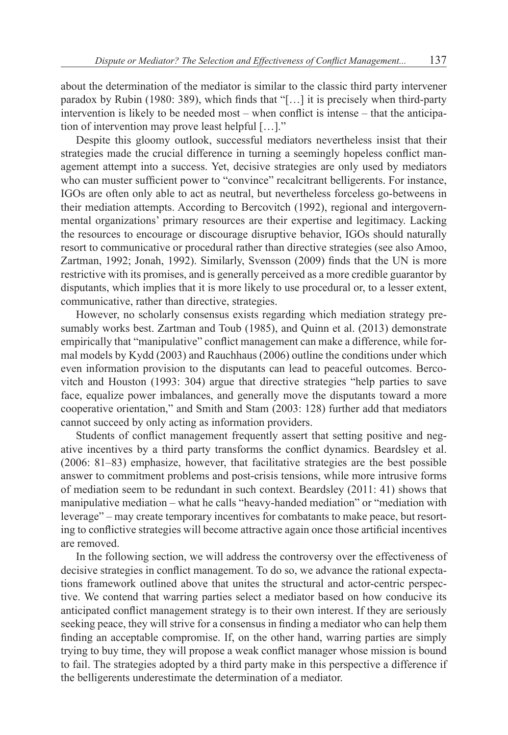about the determination of the mediator is similar to the classic third party intervener paradox by Rubin (1980: 389), which finds that "[…] it is precisely when third-party intervention is likely to be needed most – when conflict is intense – that the anticipation of intervention may prove least helpful […]."

Despite this gloomy outlook, successful mediators nevertheless insist that their strategies made the crucial difference in turning a seemingly hopeless conflict management attempt into a success. Yet, decisive strategies are only used by mediators who can muster sufficient power to "convince" recalcitrant belligerents. For instance, IGOs are often only able to act as neutral, but nevertheless forceless go-betweens in their mediation attempts. According to Bercovitch (1992), regional and intergovernmental organizations' primary resources are their expertise and legitimacy. Lacking the resources to encourage or discourage disruptive behavior, IGOs should naturally resort to communicative or procedural rather than directive strategies (see also Amoo, Zartman, 1992; Jonah, 1992). Similarly, Svensson (2009) finds that the UN is more restrictive with its promises, and is generally perceived as a more credible guarantor by disputants, which implies that it is more likely to use procedural or, to a lesser extent, communicative, rather than directive, strategies.

However, no scholarly consensus exists regarding which mediation strategy presumably works best. Zartman and Toub (1985), and Quinn et al. (2013) demonstrate empirically that "manipulative" conflict management can make a difference, while formal models by Kydd (2003) and Rauchhaus (2006) outline the conditions under which even information provision to the disputants can lead to peaceful outcomes. Bercovitch and Houston (1993: 304) argue that directive strategies "help parties to save face, equalize power imbalances, and generally move the disputants toward a more cooperative orientation," and Smith and Stam (2003: 128) further add that mediators cannot succeed by only acting as information providers.

Students of conflict management frequently assert that setting positive and negative incentives by a third party transforms the conflict dynamics. Beardsley et al. (2006: 81–83) emphasize, however, that facilitative strategies are the best possible answer to commitment problems and post-crisis tensions, while more intrusive forms of mediation seem to be redundant in such context. Beardsley (2011: 41) shows that manipulative mediation – what he calls "heavy-handed mediation" or "mediation with leverage" – may create temporary incentives for combatants to make peace, but resorting to conflictive strategies will become attractive again once those artificial incentives are removed.

In the following section, we will address the controversy over the effectiveness of decisive strategies in conflict management. To do so, we advance the rational expectations framework outlined above that unites the structural and actor-centric perspective. We contend that warring parties select a mediator based on how conducive its anticipated conflict management strategy is to their own interest. If they are seriously seeking peace, they will strive for a consensus in finding a mediator who can help them finding an acceptable compromise. If, on the other hand, warring parties are simply trying to buy time, they will propose a weak conflict manager whose mission is bound to fail. The strategies adopted by a third party make in this perspective a difference if the belligerents underestimate the determination of a mediator.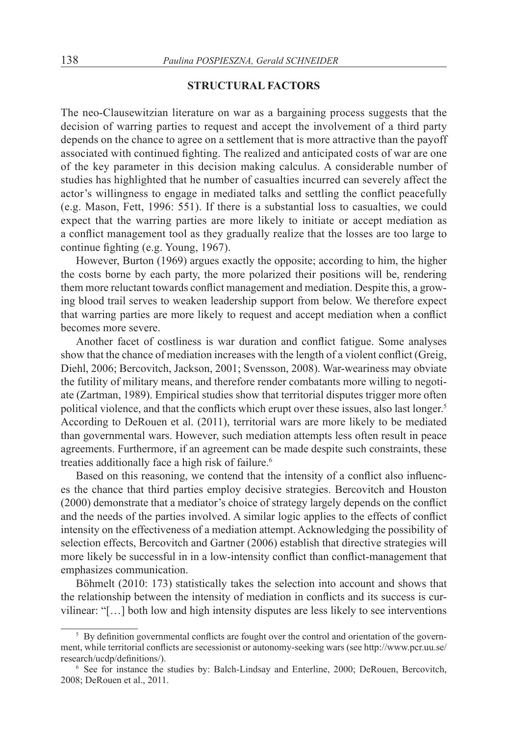#### **STRUCTURAL FACTORS**

The neo-Clausewitzian literature on war as a bargaining process suggests that the decision of warring parties to request and accept the involvement of a third party depends on the chance to agree on a settlement that is more attractive than the payoff associated with continued fighting. The realized and anticipated costs of war are one of the key parameter in this decision making calculus. A considerable number of studies has highlighted that he number of casualties incurred can severely affect the actor's willingness to engage in mediated talks and settling the conflict peacefully (e.g. Mason, Fett, 1996: 551). If there is a substantial loss to casualties, we could expect that the warring parties are more likely to initiate or accept mediation as a conflict management tool as they gradually realize that the losses are too large to continue fighting (e.g. Young, 1967).

However, Burton (1969) argues exactly the opposite; according to him, the higher the costs borne by each party, the more polarized their positions will be, rendering them more reluctant towards conflict management and mediation. Despite this, a growing blood trail serves to weaken leadership support from below. We therefore expect that warring parties are more likely to request and accept mediation when a conflict becomes more severe.

Another facet of costliness is war duration and conflict fatigue. Some analyses show that the chance of mediation increases with the length of a violent conflict (Greig, Diehl, 2006; Bercovitch, Jackson, 2001; Svensson, 2008). War-weariness may obviate the futility of military means, and therefore render combatants more willing to negotiate (Zartman, 1989). Empirical studies show that territorial disputes trigger more often political violence, and that the conflicts which erupt over these issues, also last longer.<sup>5</sup> According to DeRouen et al. (2011), territorial wars are more likely to be mediated than governmental wars. However, such mediation attempts less often result in peace agreements. Furthermore, if an agreement can be made despite such constraints, these treaties additionally face a high risk of failure.<sup>6</sup>

Based on this reasoning, we contend that the intensity of a conflict also influences the chance that third parties employ decisive strategies. Bercovitch and Houston (2000) demonstrate that a mediator's choice of strategy largely depends on the conflict and the needs of the parties involved. A similar logic applies to the effects of conflict intensity on the effectiveness of a mediation attempt. Acknowledging the possibility of selection effects, Bercovitch and Gartner (2006) establish that directive strategies will more likely be successful in in a low-intensity conflict than conflict-management that emphasizes communication.

Böhmelt (2010: 173) statistically takes the selection into account and shows that the relationship between the intensity of mediation in conflicts and its success is curvilinear: "[…] both low and high intensity disputes are less likely to see interventions

<sup>&</sup>lt;sup>5</sup> By definition governmental conflicts are fought over the control and orientation of the government, while territorial conflicts are secessionist or autonomy-seeking wars (see http://www.pcr.uu.se/ research/ucdp/definitions/).

<sup>6</sup> See for instance the studies by: Balch-Lindsay and Enterline, 2000; DeRouen, Bercovitch, 2008; DeRouen et al., 2011.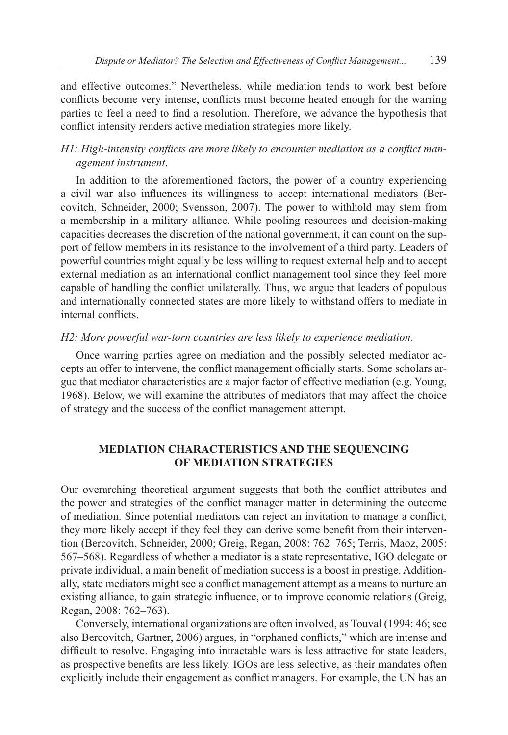and effective outcomes." Nevertheless, while mediation tends to work best before conflicts become very intense, conflicts must become heated enough for the warring parties to feel a need to find a resolution. Therefore, we advance the hypothesis that conflict intensity renders active mediation strategies more likely.

# *H1: High-intensity conflicts are more likely to encounter mediation as a conflict management instrument*.

In addition to the aforementioned factors, the power of a country experiencing a civil war also influences its willingness to accept international mediators (Bercovitch, Schneider, 2000; Svensson, 2007). The power to withhold may stem from a membership in a military alliance. While pooling resources and decision-making capacities decreases the discretion of the national government, it can count on the support of fellow members in its resistance to the involvement of a third party. Leaders of powerful countries might equally be less willing to request external help and to accept external mediation as an international conflict management tool since they feel more capable of handling the conflict unilaterally. Thus, we argue that leaders of populous and internationally connected states are more likely to withstand offers to mediate in internal conflicts.

### *H2: More powerful war-torn countries are less likely to experience mediation*.

Once warring parties agree on mediation and the possibly selected mediator accepts an offer to intervene, the conflict management officially starts. Some scholars argue that mediator characteristics are a major factor of effective mediation (e.g. Young, 1968). Below, we will examine the attributes of mediators that may affect the choice of strategy and the success of the conflict management attempt.

### **MEDIATION CHARACTERISTICS AND THE SEQUENCING OF MEDIATION STRATEGIES**

Our overarching theoretical argument suggests that both the conflict attributes and the power and strategies of the conflict manager matter in determining the outcome of mediation. Since potential mediators can reject an invitation to manage a conflict, they more likely accept if they feel they can derive some benefit from their intervention (Bercovitch, Schneider, 2000; Greig, Regan, 2008: 762–765; Terris, Maoz, 2005: 567–568). Regardless of whether a mediator is a state representative, IGO delegate or private individual, a main benefit of mediation success is a boost in prestige. Additionally, state mediators might see a conflict management attempt as a means to nurture an existing alliance, to gain strategic influence, or to improve economic relations (Greig, Regan, 2008: 762–763).

Conversely, international organizations are often involved, as Touval (1994: 46; see also Bercovitch, Gartner, 2006) argues, in "orphaned conflicts," which are intense and difficult to resolve. Engaging into intractable wars is less attractive for state leaders, as prospective benefits are less likely. IGOs are less selective, as their mandates often explicitly include their engagement as conflict managers. For example, the UN has an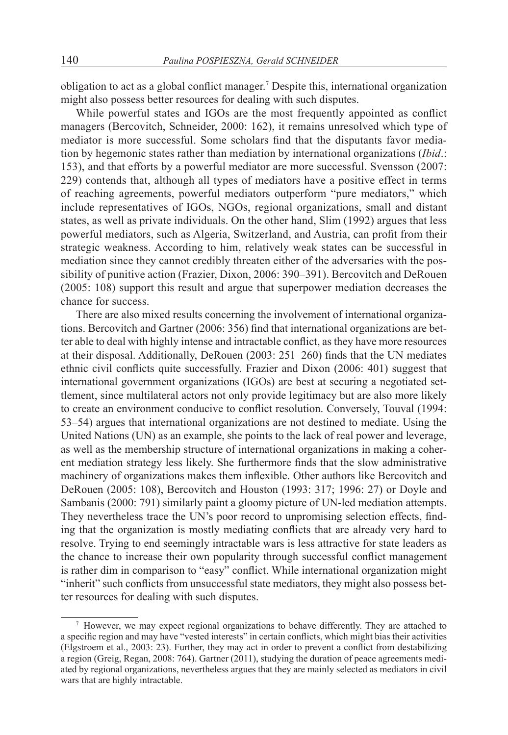obligation to act as a global conflict manager.<sup>7</sup> Despite this, international organization might also possess better resources for dealing with such disputes.

While powerful states and IGOs are the most frequently appointed as conflict managers (Bercovitch, Schneider, 2000: 162), it remains unresolved which type of mediator is more successful. Some scholars find that the disputants favor mediation by hegemonic states rather than mediation by international organizations (*Ibid*.: 153), and that efforts by a powerful mediator are more successful. Svensson (2007: 229) contends that, although all types of mediators have a positive effect in terms of reaching agreements, powerful mediators outperform "pure mediators," which include representatives of IGOs, NGOs, regional organizations, small and distant states, as well as private individuals. On the other hand, Slim (1992) argues that less powerful mediators, such as Algeria, Switzerland, and Austria, can profit from their strategic weakness. According to him, relatively weak states can be successful in mediation since they cannot credibly threaten either of the adversaries with the possibility of punitive action (Frazier, Dixon, 2006: 390–391). Bercovitch and DeRouen (2005: 108) support this result and argue that superpower mediation decreases the chance for success.

There are also mixed results concerning the involvement of international organizations. Bercovitch and Gartner (2006: 356) find that international organizations are better able to deal with highly intense and intractable conflict, as they have more resources at their disposal. Additionally, DeRouen (2003: 251–260) finds that the UN mediates ethnic civil conflicts quite successfully. Frazier and Dixon (2006: 401) suggest that international government organizations (IGOs) are best at securing a negotiated settlement, since multilateral actors not only provide legitimacy but are also more likely to create an environment conducive to conflict resolution. Conversely, Touval (1994: 53–54) argues that international organizations are not destined to mediate. Using the United Nations (UN) as an example, she points to the lack of real power and leverage, as well as the membership structure of international organizations in making a coherent mediation strategy less likely. She furthermore finds that the slow administrative machinery of organizations makes them inflexible. Other authors like Bercovitch and DeRouen (2005: 108), Bercovitch and Houston (1993: 317; 1996: 27) or Doyle and Sambanis (2000: 791) similarly paint a gloomy picture of UN-led mediation attempts. They nevertheless trace the UN's poor record to unpromising selection effects, finding that the organization is mostly mediating conflicts that are already very hard to resolve. Trying to end seemingly intractable wars is less attractive for state leaders as the chance to increase their own popularity through successful conflict management is rather dim in comparison to "easy" conflict. While international organization might "inherit" such conflicts from unsuccessful state mediators, they might also possess better resources for dealing with such disputes.

<sup>7</sup> However, we may expect regional organizations to behave differently. They are attached to a specific region and may have "vested interests" in certain conflicts, which might bias their activities (Elgstroem et al., 2003: 23). Further, they may act in order to prevent a conflict from destabilizing a region (Greig, Regan, 2008: 764). Gartner (2011), studying the duration of peace agreements mediated by regional organizations, nevertheless argues that they are mainly selected as mediators in civil wars that are highly intractable.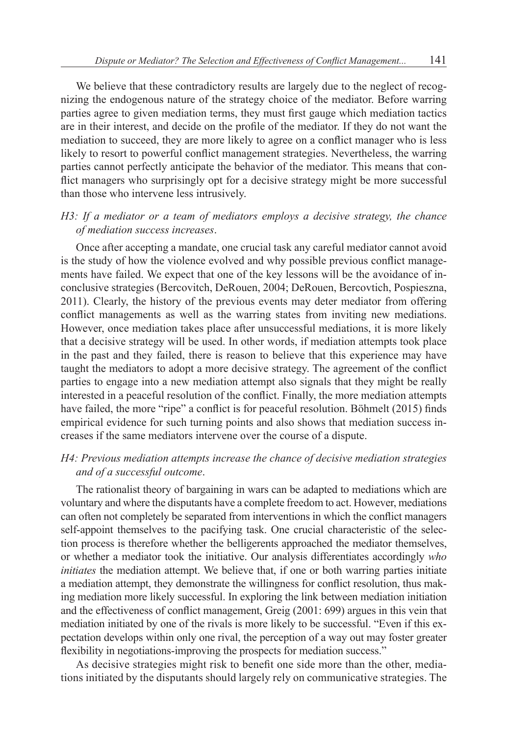We believe that these contradictory results are largely due to the neglect of recognizing the endogenous nature of the strategy choice of the mediator. Before warring parties agree to given mediation terms, they must first gauge which mediation tactics are in their interest, and decide on the profile of the mediator. If they do not want the mediation to succeed, they are more likely to agree on a conflict manager who is less likely to resort to powerful conflict management strategies. Nevertheless, the warring parties cannot perfectly anticipate the behavior of the mediator. This means that conflict managers who surprisingly opt for a decisive strategy might be more successful than those who intervene less intrusively.

# *H3: If a mediator or a team of mediators employs a decisive strategy, the chance of mediation success increases*.

Once after accepting a mandate, one crucial task any careful mediator cannot avoid is the study of how the violence evolved and why possible previous conflict managements have failed. We expect that one of the key lessons will be the avoidance of inconclusive strategies (Bercovitch, DeRouen, 2004; DeRouen, Bercovtich, Pospieszna, 2011). Clearly, the history of the previous events may deter mediator from offering conflict managements as well as the warring states from inviting new mediations. However, once mediation takes place after unsuccessful mediations, it is more likely that a decisive strategy will be used. In other words, if mediation attempts took place in the past and they failed, there is reason to believe that this experience may have taught the mediators to adopt a more decisive strategy. The agreement of the conflict parties to engage into a new mediation attempt also signals that they might be really interested in a peaceful resolution of the conflict. Finally, the more mediation attempts have failed, the more "ripe" a conflict is for peaceful resolution. Böhmelt (2015) finds empirical evidence for such turning points and also shows that mediation success increases if the same mediators intervene over the course of a dispute.

# *H4: Previous mediation attempts increase the chance of decisive mediation strategies and of a successful outcome*.

The rationalist theory of bargaining in wars can be adapted to mediations which are voluntary and where the disputants have a complete freedom to act. However, mediations can often not completely be separated from interventions in which the conflict managers self-appoint themselves to the pacifying task. One crucial characteristic of the selection process is therefore whether the belligerents approached the mediator themselves, or whether a mediator took the initiative. Our analysis differentiates accordingly *who initiates* the mediation attempt. We believe that, if one or both warring parties initiate a mediation attempt, they demonstrate the willingness for conflict resolution, thus making mediation more likely successful. In exploring the link between mediation initiation and the effectiveness of conflict management, Greig (2001: 699) argues in this vein that mediation initiated by one of the rivals is more likely to be successful. "Even if this expectation develops within only one rival, the perception of a way out may foster greater flexibility in negotiations-improving the prospects for mediation success."

As decisive strategies might risk to benefit one side more than the other, mediations initiated by the disputants should largely rely on communicative strategies. The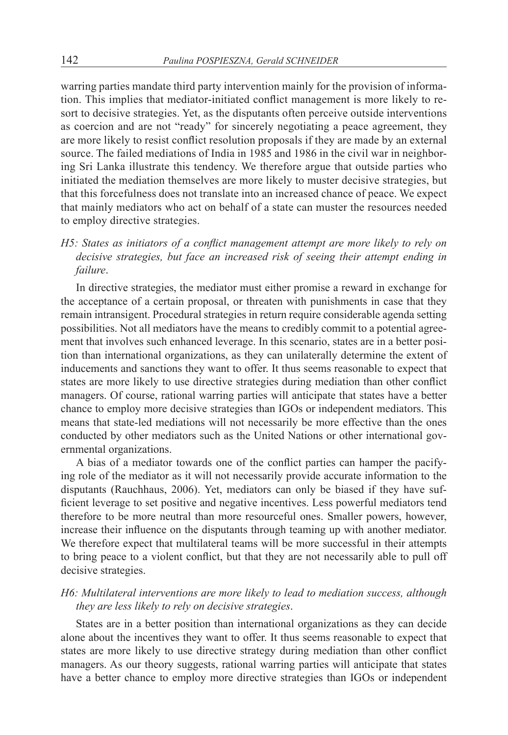warring parties mandate third party intervention mainly for the provision of information. This implies that mediator-initiated conflict management is more likely to resort to decisive strategies. Yet, as the disputants often perceive outside interventions as coercion and are not "ready" for sincerely negotiating a peace agreement, they are more likely to resist conflict resolution proposals if they are made by an external source. The failed mediations of India in 1985 and 1986 in the civil war in neighboring Sri Lanka illustrate this tendency. We therefore argue that outside parties who initiated the mediation themselves are more likely to muster decisive strategies, but that this forcefulness does not translate into an increased chance of peace. We expect that mainly mediators who act on behalf of a state can muster the resources needed to employ directive strategies.

# *H5: States as initiators of a conflict management attempt are more likely to rely on decisive strategies, but face an increased risk of seeing their attempt ending in failure*.

In directive strategies, the mediator must either promise a reward in exchange for the acceptance of a certain proposal, or threaten with punishments in case that they remain intransigent. Procedural strategies in return require considerable agenda setting possibilities. Not all mediators have the means to credibly commit to a potential agreement that involves such enhanced leverage. In this scenario, states are in a better position than international organizations, as they can unilaterally determine the extent of inducements and sanctions they want to offer. It thus seems reasonable to expect that states are more likely to use directive strategies during mediation than other conflict managers. Of course, rational warring parties will anticipate that states have a better chance to employ more decisive strategies than IGOs or independent mediators. This means that state-led mediations will not necessarily be more effective than the ones conducted by other mediators such as the United Nations or other international governmental organizations.

A bias of a mediator towards one of the conflict parties can hamper the pacifying role of the mediator as it will not necessarily provide accurate information to the disputants (Rauchhaus, 2006). Yet, mediators can only be biased if they have sufficient leverage to set positive and negative incentives. Less powerful mediators tend therefore to be more neutral than more resourceful ones. Smaller powers, however, increase their influence on the disputants through teaming up with another mediator. We therefore expect that multilateral teams will be more successful in their attempts to bring peace to a violent conflict, but that they are not necessarily able to pull off decisive strategies.

# *H6: Multilateral interventions are more likely to lead to mediation success, although they are less likely to rely on decisive strategies*.

States are in a better position than international organizations as they can decide alone about the incentives they want to offer. It thus seems reasonable to expect that states are more likely to use directive strategy during mediation than other conflict managers. As our theory suggests, rational warring parties will anticipate that states have a better chance to employ more directive strategies than IGOs or independent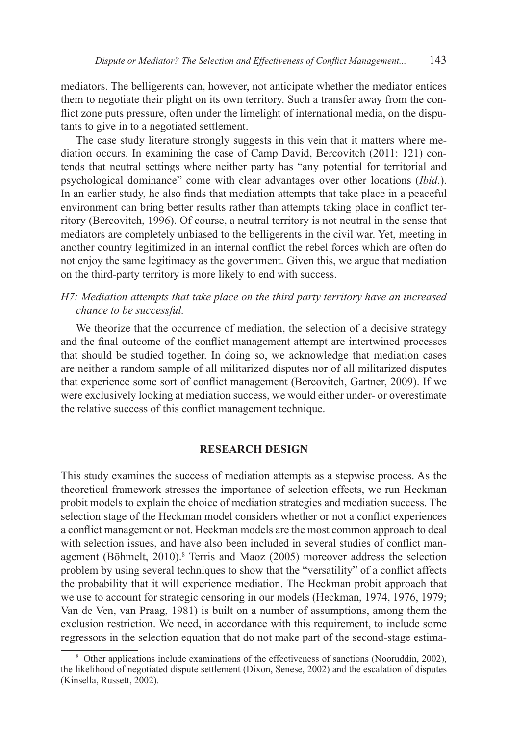mediators. The belligerents can, however, not anticipate whether the mediator entices them to negotiate their plight on its own territory. Such a transfer away from the conflict zone puts pressure, often under the limelight of international media, on the disputants to give in to a negotiated settlement.

The case study literature strongly suggests in this vein that it matters where mediation occurs. In examining the case of Camp David, Bercovitch (2011: 121) contends that neutral settings where neither party has "any potential for territorial and psychological dominance" come with clear advantages over other locations (*Ibid*.). In an earlier study, he also finds that mediation attempts that take place in a peaceful environment can bring better results rather than attempts taking place in conflict territory (Bercovitch, 1996). Of course, a neutral territory is not neutral in the sense that mediators are completely unbiased to the belligerents in the civil war. Yet, meeting in another country legitimized in an internal conflict the rebel forces which are often do not enjoy the same legitimacy as the government. Given this, we argue that mediation on the third-party territory is more likely to end with success.

## *H7: Mediation attempts that take place on the third party territory have an increased chance to be successful.*

We theorize that the occurrence of mediation, the selection of a decisive strategy and the final outcome of the conflict management attempt are intertwined processes that should be studied together. In doing so, we acknowledge that mediation cases are neither a random sample of all militarized disputes nor of all militarized disputes that experience some sort of conflict management (Bercovitch, Gartner, 2009). If we were exclusively looking at mediation success, we would either under- or overestimate the relative success of this conflict management technique.

### **RESEARCH DESIGN**

This study examines the success of mediation attempts as a stepwise process. As the theoretical framework stresses the importance of selection effects, we run Heckman probit models to explain the choice of mediation strategies and mediation success. The selection stage of the Heckman model considers whether or not a conflict experiences a conflict management or not. Heckman models are the most common approach to deal with selection issues, and have also been included in several studies of conflict management (Böhmelt, 2010).<sup>8</sup> Terris and Maoz (2005) moreover address the selection problem by using several techniques to show that the "versatility" of a conflict affects the probability that it will experience mediation. The Heckman probit approach that we use to account for strategic censoring in our models (Heckman, 1974, 1976, 1979; Van de Ven, van Praag, 1981) is built on a number of assumptions, among them the exclusion restriction. We need, in accordance with this requirement, to include some regressors in the selection equation that do not make part of the second-stage estima-

<sup>8</sup> Other applications include examinations of the effectiveness of sanctions (Nooruddin, 2002), the likelihood of negotiated dispute settlement (Dixon, Senese, 2002) and the escalation of disputes (Kinsella, Russett, 2002).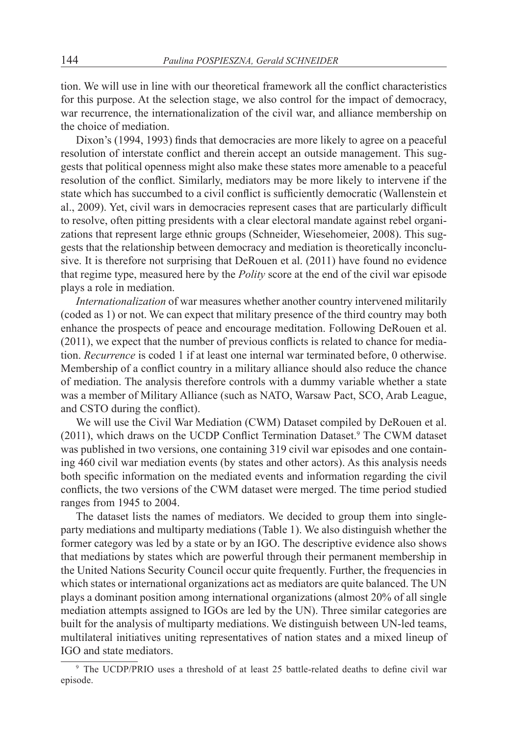tion. We will use in line with our theoretical framework all the conflict characteristics for this purpose. At the selection stage, we also control for the impact of democracy, war recurrence, the internationalization of the civil war, and alliance membership on the choice of mediation.

Dixon's (1994, 1993) finds that democracies are more likely to agree on a peaceful resolution of interstate conflict and therein accept an outside management. This suggests that political openness might also make these states more amenable to a peaceful resolution of the conflict. Similarly, mediators may be more likely to intervene if the state which has succumbed to a civil conflict is sufficiently democratic (Wallenstein et al., 2009). Yet, civil wars in democracies represent cases that are particularly difficult to resolve, often pitting presidents with a clear electoral mandate against rebel organizations that represent large ethnic groups (Schneider, Wiesehomeier, 2008). This suggests that the relationship between democracy and mediation is theoretically inconclusive. It is therefore not surprising that DeRouen et al. (2011) have found no evidence that regime type, measured here by the *Polity* score at the end of the civil war episode plays a role in mediation.

*Internationalization* of war measures whether another country intervened militarily (coded as 1) or not. We can expect that military presence of the third country may both enhance the prospects of peace and encourage meditation. Following DeRouen et al. (2011), we expect that the number of previous conflicts is related to chance for mediation. *Recurrence* is coded 1 if at least one internal war terminated before, 0 otherwise. Membership of a conflict country in a military alliance should also reduce the chance of mediation. The analysis therefore controls with a dummy variable whether a state was a member of Military Alliance (such as NATO, Warsaw Pact, SCO, Arab League, and CSTO during the conflict).

We will use the Civil War Mediation (CWM) Dataset compiled by DeRouen et al. (2011), which draws on the UCDP Conflict Termination Dataset.<sup>9</sup> The CWM dataset was published in two versions, one containing 319 civil war episodes and one containing 460 civil war mediation events (by states and other actors). As this analysis needs both specific information on the mediated events and information regarding the civil conflicts, the two versions of the CWM dataset were merged. The time period studied ranges from 1945 to 2004.

The dataset lists the names of mediators. We decided to group them into singleparty mediations and multiparty mediations (Table 1). We also distinguish whether the former category was led by a state or by an IGO. The descriptive evidence also shows that mediations by states which are powerful through their permanent membership in the United Nations Security Council occur quite frequently. Further, the frequencies in which states or international organizations act as mediators are quite balanced. The UN plays a dominant position among international organizations (almost 20% of all single mediation attempts assigned to IGOs are led by the UN). Three similar categories are built for the analysis of multiparty mediations. We distinguish between UN-led teams, multilateral initiatives uniting representatives of nation states and a mixed lineup of IGO and state mediators.

<sup>9</sup> The UCDP/PRIO uses a threshold of at least 25 battle-related deaths to define civil war episode.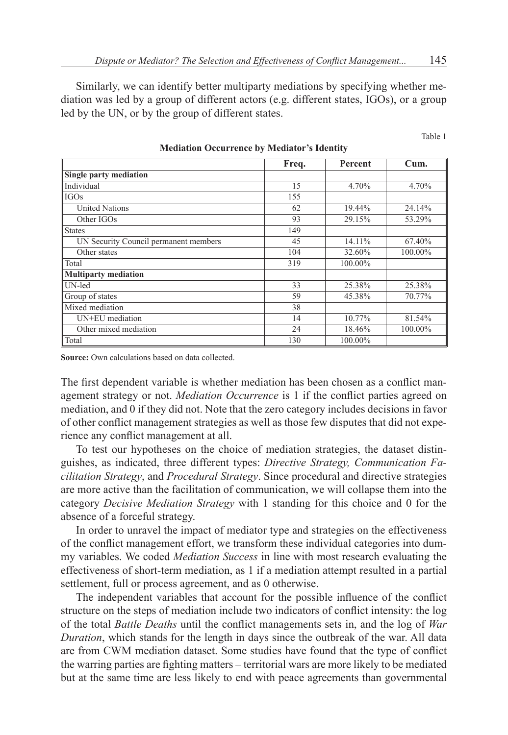Similarly, we can identify better multiparty mediations by specifying whether mediation was led by a group of different actors (e.g. different states, IGOs), or a group led by the UN, or by the group of different states.

Table 1

|                                       | Freq. | <b>Percent</b> | Cum.    |
|---------------------------------------|-------|----------------|---------|
| Single party mediation                |       |                |         |
| Individual                            | 15    | 4.70%          | 4.70%   |
| <b>IGOs</b>                           | 155   |                |         |
| <b>United Nations</b>                 | 62    | 19.44%         | 24.14%  |
| Other IGOs                            | 93    | 29.15%         | 53.29%  |
| <b>States</b>                         | 149   |                |         |
| UN Security Council permanent members | 45    | 14.11%         | 67.40%  |
| Other states                          | 104   | 32.60%         | 100.00% |
| Total                                 | 319   | 100.00%        |         |
| <b>Multiparty mediation</b>           |       |                |         |
| UN-led                                | 33    | 25.38%         | 25.38%  |
| Group of states                       | 59    | 45.38%         | 70.77%  |
| Mixed mediation                       | 38    |                |         |
| UN+EU mediation                       | 14    | 10.77%         | 81.54%  |
| Other mixed mediation                 | 24    | 18.46%         | 100.00% |
| Total                                 | 130   | 100.00%        |         |

**Mediation Occurrence by Mediator's Identity**

**Source:** Own calculations based on data collected.

The first dependent variable is whether mediation has been chosen as a conflict management strategy or not. *Mediation Occurrence* is 1 if the conflict parties agreed on mediation, and 0 if they did not. Note that the zero category includes decisions in favor of other conflict management strategies as well as those few disputes that did not experience any conflict management at all.

To test our hypotheses on the choice of mediation strategies, the dataset distinguishes, as indicated, three different types: *Directive Strategy, Communication Facilitation Strategy*, and *Procedural Strategy*. Since procedural and directive strategies are more active than the facilitation of communication, we will collapse them into the category *Decisive Mediation Strategy* with 1 standing for this choice and 0 for the absence of a forceful strategy.

In order to unravel the impact of mediator type and strategies on the effectiveness of the conflict management effort, we transform these individual categories into dummy variables. We coded *Mediation Success* in line with most research evaluating the effectiveness of short-term mediation, as 1 if a mediation attempt resulted in a partial settlement, full or process agreement, and as 0 otherwise.

The independent variables that account for the possible influence of the conflict structure on the steps of mediation include two indicators of conflict intensity: the log of the total *Battle Deaths* until the conflict managements sets in, and the log of *War Duration*, which stands for the length in days since the outbreak of the war. All data are from CWM mediation dataset. Some studies have found that the type of conflict the warring parties are fighting matters – territorial wars are more likely to be mediated but at the same time are less likely to end with peace agreements than governmental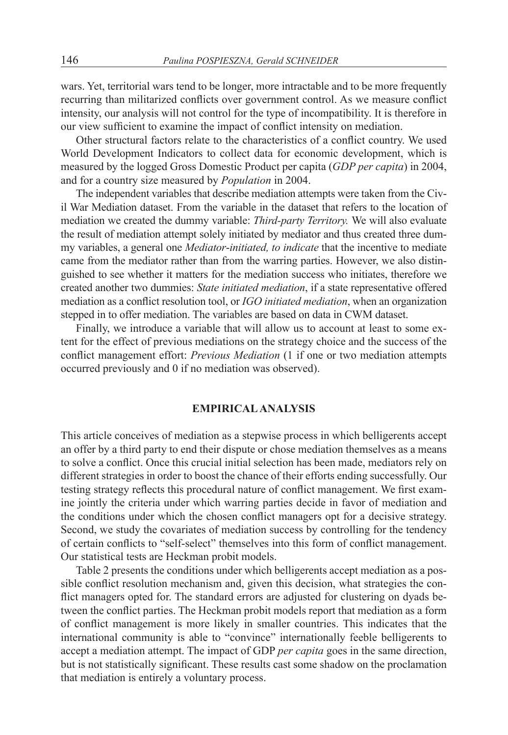wars. Yet, territorial wars tend to be longer, more intractable and to be more frequently recurring than militarized conflicts over government control. As we measure conflict intensity, our analysis will not control for the type of incompatibility. It is therefore in our view sufficient to examine the impact of conflict intensity on mediation.

Other structural factors relate to the characteristics of a conflict country. We used World Development Indicators to collect data for economic development, which is measured by the logged Gross Domestic Product per capita (*GDP per capita*) in 2004, and for a country size measured by *Population* in 2004.

The independent variables that describe mediation attempts were taken from the Civil War Mediation dataset. From the variable in the dataset that refers to the location of mediation we created the dummy variable: *Third-party Territory.* We will also evaluate the result of mediation attempt solely initiated by mediator and thus created three dummy variables, a general one *Mediator*-*initiated, to indicate* that the incentive to mediate came from the mediator rather than from the warring parties. However, we also distinguished to see whether it matters for the mediation success who initiates, therefore we created another two dummies: *State initiated mediation*, if a state representative offered mediation as a conflict resolution tool, or *IGO initiated mediation*, when an organization stepped in to offer mediation. The variables are based on data in CWM dataset.

Finally, we introduce a variable that will allow us to account at least to some extent for the effect of previous mediations on the strategy choice and the success of the conflict management effort: *Previous Mediation* (1 if one or two mediation attempts occurred previously and 0 if no mediation was observed).

### **EMPIRICAL ANALYSIS**

This article conceives of mediation as a stepwise process in which belligerents accept an offer by a third party to end their dispute or chose mediation themselves as a means to solve a conflict. Once this crucial initial selection has been made, mediators rely on different strategies in order to boost the chance of their efforts ending successfully. Our testing strategy reflects this procedural nature of conflict management. We first examine jointly the criteria under which warring parties decide in favor of mediation and the conditions under which the chosen conflict managers opt for a decisive strategy. Second, we study the covariates of mediation success by controlling for the tendency of certain conflicts to "self-select" themselves into this form of conflict management. Our statistical tests are Heckman probit models.

Table 2 presents the conditions under which belligerents accept mediation as a possible conflict resolution mechanism and, given this decision, what strategies the conflict managers opted for. The standard errors are adjusted for clustering on dyads between the conflict parties. The Heckman probit models report that mediation as a form of conflict management is more likely in smaller countries. This indicates that the international community is able to "convince" internationally feeble belligerents to accept a mediation attempt. The impact of GDP *per capita* goes in the same direction, but is not statistically significant. These results cast some shadow on the proclamation that mediation is entirely a voluntary process.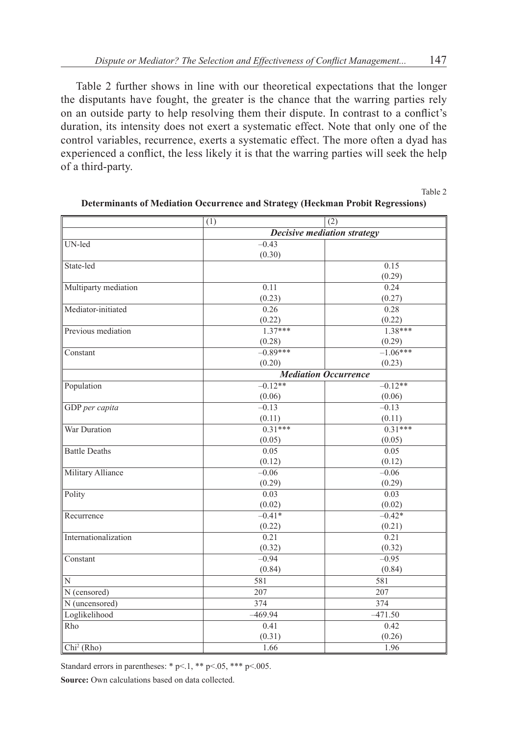Table 2 further shows in line with our theoretical expectations that the longer the disputants have fought, the greater is the chance that the warring parties rely on an outside party to help resolving them their dispute. In contrast to a conflict's duration, its intensity does not exert a systematic effect. Note that only one of the control variables, recurrence, exerts a systematic effect. The more often a dyad has experienced a conflict, the less likely it is that the warring parties will seek the help of a third-party.

Table 2

|                      | (1)        | (2)                         |  |  |  |  |
|----------------------|------------|-----------------------------|--|--|--|--|
|                      |            | Decisive mediation strategy |  |  |  |  |
| UN-led               | $-0.43$    |                             |  |  |  |  |
|                      | (0.30)     |                             |  |  |  |  |
| State-led            |            | 0.15                        |  |  |  |  |
|                      |            | (0.29)                      |  |  |  |  |
| Multiparty mediation | 0.11       | 0.24                        |  |  |  |  |
|                      | (0.23)     | (0.27)                      |  |  |  |  |
| Mediator-initiated   | 0.26       | 0.28                        |  |  |  |  |
|                      | (0.22)     | (0.22)                      |  |  |  |  |
| Previous mediation   | $1.37***$  | $1.38***$                   |  |  |  |  |
|                      | (0.28)     | (0.29)                      |  |  |  |  |
| Constant             | $-0.89***$ | $-1.06***$                  |  |  |  |  |
|                      | (0.20)     | (0.23)                      |  |  |  |  |
|                      |            | <b>Mediation Occurrence</b> |  |  |  |  |
| Population           | $-0.12**$  | $-0.12**$                   |  |  |  |  |
|                      | (0.06)     | (0.06)                      |  |  |  |  |
| GDP per capita       | $-0.13$    | $-0.13$                     |  |  |  |  |
|                      | (0.11)     | (0.11)                      |  |  |  |  |
| War Duration         | $0.31***$  | $0.31***$                   |  |  |  |  |
|                      | (0.05)     | (0.05)                      |  |  |  |  |
| <b>Battle Deaths</b> | 0.05       | 0.05                        |  |  |  |  |
|                      | (0.12)     | (0.12)                      |  |  |  |  |
| Military Alliance    | $-0.06$    | $-0.06$                     |  |  |  |  |
|                      | (0.29)     | (0.29)                      |  |  |  |  |
| Polity               | 0.03       | 0.03                        |  |  |  |  |
|                      | (0.02)     | (0.02)                      |  |  |  |  |
| Recurrence           | $-0.41*$   | $-0.42*$                    |  |  |  |  |
|                      | (0.22)     | (0.21)                      |  |  |  |  |
| Internationalization | 0.21       | 0.21                        |  |  |  |  |
|                      | (0.32)     | (0.32)                      |  |  |  |  |
| Constant             | $-0.94$    | $-0.95$                     |  |  |  |  |
|                      | (0.84)     | (0.84)                      |  |  |  |  |
| N                    | 581        | 581                         |  |  |  |  |
| N (censored)         | 207        | 207                         |  |  |  |  |
| N (uncensored)       | 374        | 374                         |  |  |  |  |
| Loglikelihood        | $-469.94$  | $-471.50$                   |  |  |  |  |
| Rho                  | 0.41       | 0.42                        |  |  |  |  |
|                      | (0.31)     | (0.26)                      |  |  |  |  |
| $Chi2$ (Rho)         | 1.66       | 1.96                        |  |  |  |  |

#### **Determinants of Mediation Occurrence and Strategy (Heckman Probit Regressions)**

Standard errors in parentheses:  $* p<1$ ,  $** p<0.05$ ,  $*** p<0.005$ .

**Source:** Own calculations based on data collected.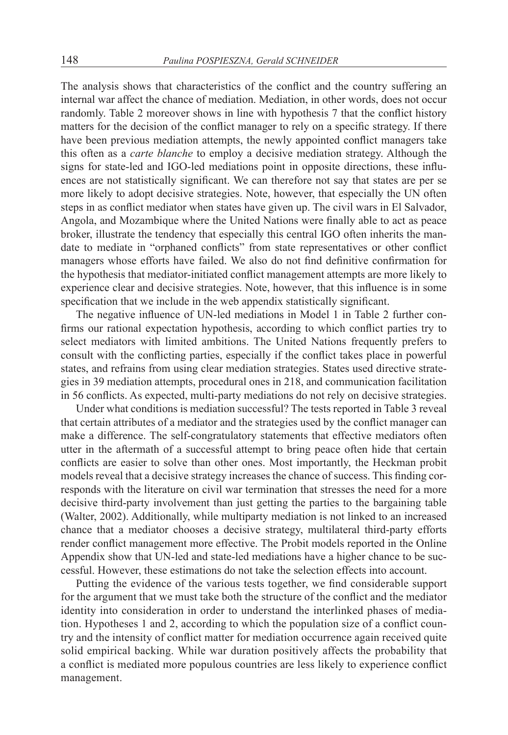The analysis shows that characteristics of the conflict and the country suffering an internal war affect the chance of mediation. Mediation, in other words, does not occur randomly. Table 2 moreover shows in line with hypothesis 7 that the conflict history matters for the decision of the conflict manager to rely on a specific strategy. If there have been previous mediation attempts, the newly appointed conflict managers take this often as a *carte blanche* to employ a decisive mediation strategy. Although the signs for state-led and IGO-led mediations point in opposite directions, these influences are not statistically significant. We can therefore not say that states are per se more likely to adopt decisive strategies. Note, however, that especially the UN often steps in as conflict mediator when states have given up. The civil wars in El Salvador, Angola, and Mozambique where the United Nations were finally able to act as peace broker, illustrate the tendency that especially this central IGO often inherits the mandate to mediate in "orphaned conflicts" from state representatives or other conflict managers whose efforts have failed. We also do not find definitive confirmation for the hypothesis that mediator-initiated conflict management attempts are more likely to experience clear and decisive strategies. Note, however, that this influence is in some specification that we include in the web appendix statistically significant.

The negative influence of UN-led mediations in Model 1 in Table 2 further confirms our rational expectation hypothesis, according to which conflict parties try to select mediators with limited ambitions. The United Nations frequently prefers to consult with the conflicting parties, especially if the conflict takes place in powerful states, and refrains from using clear mediation strategies. States used directive strategies in 39 mediation attempts, procedural ones in 218, and communication facilitation in 56 conflicts. As expected, multi-party mediations do not rely on decisive strategies.

Under what conditions is mediation successful? The tests reported in Table 3 reveal that certain attributes of a mediator and the strategies used by the conflict manager can make a difference. The self-congratulatory statements that effective mediators often utter in the aftermath of a successful attempt to bring peace often hide that certain conflicts are easier to solve than other ones. Most importantly, the Heckman probit models reveal that a decisive strategy increases the chance of success. This finding corresponds with the literature on civil war termination that stresses the need for a more decisive third-party involvement than just getting the parties to the bargaining table (Walter, 2002). Additionally, while multiparty mediation is not linked to an increased chance that a mediator chooses a decisive strategy, multilateral third-party efforts render conflict management more effective. The Probit models reported in the Online Appendix show that UN-led and state-led mediations have a higher chance to be successful. However, these estimations do not take the selection effects into account.

Putting the evidence of the various tests together, we find considerable support for the argument that we must take both the structure of the conflict and the mediator identity into consideration in order to understand the interlinked phases of mediation. Hypotheses 1 and 2, according to which the population size of a conflict country and the intensity of conflict matter for mediation occurrence again received quite solid empirical backing. While war duration positively affects the probability that a conflict is mediated more populous countries are less likely to experience conflict management.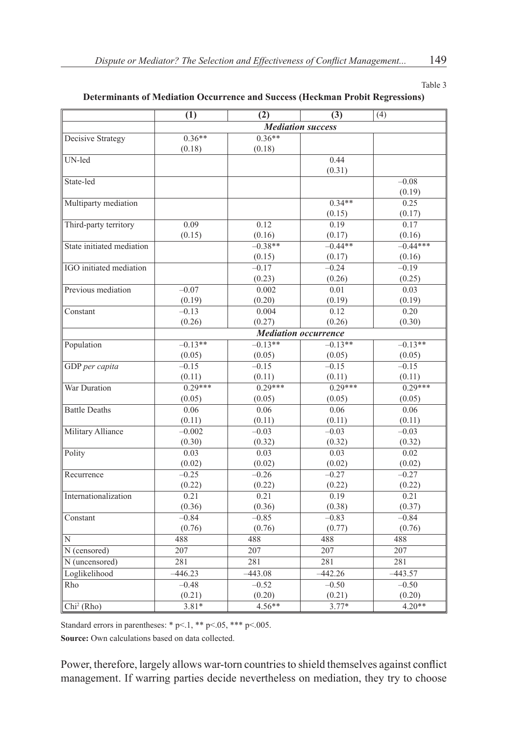Table 3

#### **Determinants of Mediation Occurrence and Success (Heckman Probit Regressions)**

|                           | (1)                      | $\overline{(2)}$ | (3)                         | (4)        |  |
|---------------------------|--------------------------|------------------|-----------------------------|------------|--|
|                           | <b>Mediation success</b> |                  |                             |            |  |
| Decisive Strategy         | $0.36**$                 | $0.36**$         |                             |            |  |
|                           | (0.18)                   | (0.18)           |                             |            |  |
| UN-led                    |                          |                  | 0.44                        |            |  |
|                           |                          |                  | (0.31)                      |            |  |
| State-led                 |                          |                  |                             | $-0.08$    |  |
|                           |                          |                  |                             | (0.19)     |  |
| Multiparty mediation      |                          |                  | $0.34**$                    | 0.25       |  |
|                           |                          |                  | (0.15)                      | (0.17)     |  |
| Third-party territory     | 0.09                     | 0.12             | 0.19                        | 0.17       |  |
|                           | (0.15)                   | (0.16)           | (0.17)                      | (0.16)     |  |
| State initiated mediation |                          | $-0.38**$        | $-0.44**$                   | $-0.44***$ |  |
|                           |                          | (0.15)           | (0.17)                      | (0.16)     |  |
| IGO initiated mediation   |                          | $-0.17$          | $-0.24$                     | $-0.19$    |  |
|                           |                          | (0.23)           | (0.26)                      | (0.25)     |  |
| Previous mediation        | $-0.07$                  | 0.002            | 0.01                        | 0.03       |  |
|                           | (0.19)                   | (0.20)           | (0.19)                      | (0.19)     |  |
| Constant                  | $-0.13$                  | 0.004            | 0.12                        | 0.20       |  |
|                           | (0.26)                   | (0.27)           | (0.26)                      | (0.30)     |  |
|                           |                          |                  | <b>Mediation occurrence</b> |            |  |
| Population                | $-0.13**$                | $-0.13**$        | $-0.13**$                   | $-0.13**$  |  |
|                           | (0.05)                   | (0.05)           | (0.05)                      | (0.05)     |  |
| GDP per capita            | $-0.15$                  | $-0.15$          | $-0.15$                     | $-0.15$    |  |
|                           | (0.11)                   | (0.11)           | (0.11)                      | (0.11)     |  |
| War Duration              | $0.29***$                | $0.29***$        | $0.29***$                   | $0.29***$  |  |
|                           | (0.05)                   | (0.05)           | (0.05)                      | (0.05)     |  |
| <b>Battle Deaths</b>      | 0.06                     | 0.06             | 0.06                        | 0.06       |  |
|                           | (0.11)                   | (0.11)           | (0.11)                      | (0.11)     |  |
| Military Alliance         | $-0.002$                 | $-0.03$          | $-0.03$                     | $-0.03$    |  |
|                           | (0.30)                   | (0.32)           | (0.32)                      | (0.32)     |  |
| Polity                    | 0.03                     | 0.03             | 0.03                        | 0.02       |  |
|                           | (0.02)                   | (0.02)           | (0.02)                      | (0.02)     |  |
| Recurrence                | $-0.25$                  | $-0.26$          | $-0.27$                     | $-0.27$    |  |
|                           | (0.22)                   | (0.22)           | (0.22)                      | (0.22)     |  |
| Internationalization      | 0.21                     | 0.21             | 0.19                        | 0.21       |  |
|                           | (0.36)                   | (0.36)           | (0.38)                      | (0.37)     |  |
| Constant                  | $-0.84$                  | $-0.85$          | $-0.83$                     | $-0.84$    |  |
|                           | (0.76)                   | (0.76)           | (0.77)                      | (0.76)     |  |
| N                         | 488                      | 488              | 488                         | 488        |  |
| N (censored)              | 207                      | 207              | 207                         | 207        |  |
| N (uncensored)            | 281                      | 281              | 281                         | 281        |  |
| Loglikelihood             | $-446.23$                | $-443.08$        | $-442.26$                   | $-443.57$  |  |
| Rho                       | $-0.48$                  | $-0.52$          | $-0.50$                     | $-0.50$    |  |
|                           | (0.21)                   | (0.20)           | (0.21)                      | (0.20)     |  |
| $Chi2$ (Rho)              | $3.81*$                  | $4.56**$         | $3.77*$                     | $4.20**$   |  |

Standard errors in parentheses: \* p <... 1, \*\* p <...  $0.65$ , \*\*\* p <... 005.

**Source:** Own calculations based on data collected.

Power, therefore, largely allows war-torn countries to shield themselves against conflict management. If warring parties decide nevertheless on mediation, they try to choose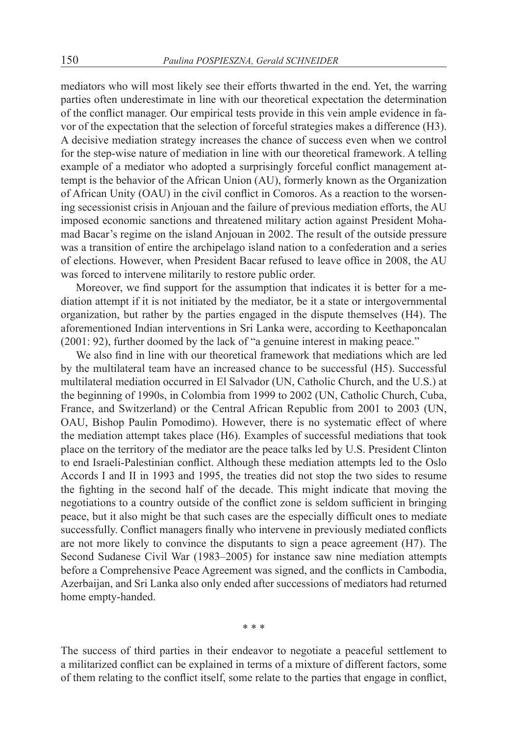mediators who will most likely see their efforts thwarted in the end. Yet, the warring parties often underestimate in line with our theoretical expectation the determination of the conflict manager. Our empirical tests provide in this vein ample evidence in favor of the expectation that the selection of forceful strategies makes a difference (H3). A decisive mediation strategy increases the chance of success even when we control for the step-wise nature of mediation in line with our theoretical framework. A telling example of a mediator who adopted a surprisingly forceful conflict management attempt is the behavior of the African Union (AU), formerly known as the Organization of African Unity (OAU) in the civil conflict in Comoros. As a reaction to the worsening secessionist crisis in Anjouan and the failure of previous mediation efforts, the AU imposed economic sanctions and threatened military action against President Mohamad Bacar's regime on the island Anjouan in 2002. The result of the outside pressure was a transition of entire the archipelago island nation to a confederation and a series of elections. However, when President Bacar refused to leave office in 2008, the AU was forced to intervene militarily to restore public order.

Moreover, we find support for the assumption that indicates it is better for a mediation attempt if it is not initiated by the mediator, be it a state or intergovernmental organization, but rather by the parties engaged in the dispute themselves (H4). The aforementioned Indian interventions in Sri Lanka were, according to Keethaponcalan (2001: 92), further doomed by the lack of "a genuine interest in making peace."

We also find in line with our theoretical framework that mediations which are led by the multilateral team have an increased chance to be successful (H5). Successful multilateral mediation occurred in El Salvador (UN, Catholic Church, and the U.S.) at the beginning of 1990s, in Colombia from 1999 to 2002 (UN, Catholic Church, Cuba, France, and Switzerland) or the Central African Republic from 2001 to 2003 (UN, OAU, Bishop Paulin Pomodimo). However, there is no systematic effect of where the mediation attempt takes place (H6). Examples of successful mediations that took place on the territory of the mediator are the peace talks led by U.S. President Clinton to end Israeli-Palestinian conflict. Although these mediation attempts led to the Oslo Accords I and II in 1993 and 1995, the treaties did not stop the two sides to resume the fighting in the second half of the decade. This might indicate that moving the negotiations to a country outside of the conflict zone is seldom sufficient in bringing peace, but it also might be that such cases are the especially difficult ones to mediate successfully. Conflict managers finally who intervene in previously mediated conflicts are not more likely to convince the disputants to sign a peace agreement (H7). The Second Sudanese Civil War (1983–2005) for instance saw nine mediation attempts before a Comprehensive Peace Agreement was signed, and the conflicts in Cambodia, Azerbaijan, and Sri Lanka also only ended after successions of mediators had returned home empty-handed.

\* \* \*

The success of third parties in their endeavor to negotiate a peaceful settlement to a militarized conflict can be explained in terms of a mixture of different factors, some of them relating to the conflict itself, some relate to the parties that engage in conflict,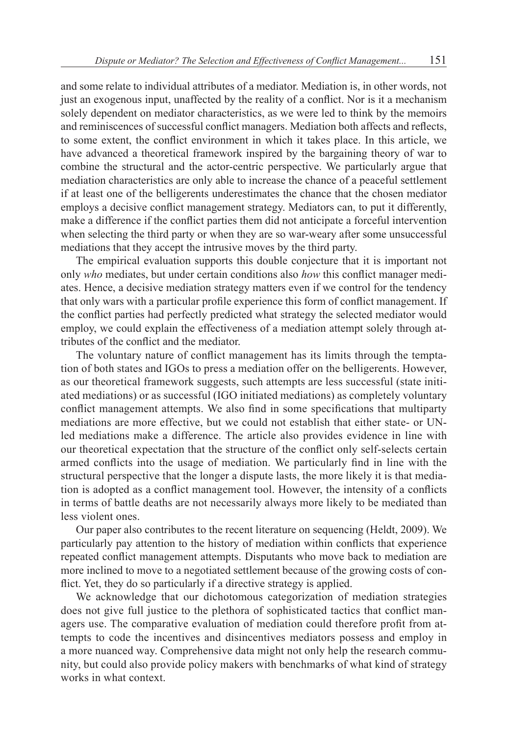and some relate to individual attributes of a mediator. Mediation is, in other words, not just an exogenous input, unaffected by the reality of a conflict. Nor is it a mechanism solely dependent on mediator characteristics, as we were led to think by the memoirs and reminiscences of successful conflict managers. Mediation both affects and reflects, to some extent, the conflict environment in which it takes place. In this article, we have advanced a theoretical framework inspired by the bargaining theory of war to combine the structural and the actor-centric perspective. We particularly argue that mediation characteristics are only able to increase the chance of a peaceful settlement if at least one of the belligerents underestimates the chance that the chosen mediator employs a decisive conflict management strategy. Mediators can, to put it differently, make a difference if the conflict parties them did not anticipate a forceful intervention when selecting the third party or when they are so war-weary after some unsuccessful mediations that they accept the intrusive moves by the third party.

The empirical evaluation supports this double conjecture that it is important not only *who* mediates, but under certain conditions also *how* this conflict manager mediates. Hence, a decisive mediation strategy matters even if we control for the tendency that only wars with a particular profile experience this form of conflict management. If the conflict parties had perfectly predicted what strategy the selected mediator would employ, we could explain the effectiveness of a mediation attempt solely through attributes of the conflict and the mediator.

The voluntary nature of conflict management has its limits through the temptation of both states and IGOs to press a mediation offer on the belligerents. However, as our theoretical framework suggests, such attempts are less successful (state initiated mediations) or as successful (IGO initiated mediations) as completely voluntary conflict management attempts. We also find in some specifications that multiparty mediations are more effective, but we could not establish that either state- or UNled mediations make a difference. The article also provides evidence in line with our theoretical expectation that the structure of the conflict only self-selects certain armed conflicts into the usage of mediation. We particularly find in line with the structural perspective that the longer a dispute lasts, the more likely it is that mediation is adopted as a conflict management tool. However, the intensity of a conflicts in terms of battle deaths are not necessarily always more likely to be mediated than less violent ones.

Our paper also contributes to the recent literature on sequencing (Heldt, 2009). We particularly pay attention to the history of mediation within conflicts that experience repeated conflict management attempts. Disputants who move back to mediation are more inclined to move to a negotiated settlement because of the growing costs of conflict. Yet, they do so particularly if a directive strategy is applied.

We acknowledge that our dichotomous categorization of mediation strategies does not give full justice to the plethora of sophisticated tactics that conflict managers use. The comparative evaluation of mediation could therefore profit from attempts to code the incentives and disincentives mediators possess and employ in a more nuanced way. Comprehensive data might not only help the research community, but could also provide policy makers with benchmarks of what kind of strategy works in what context.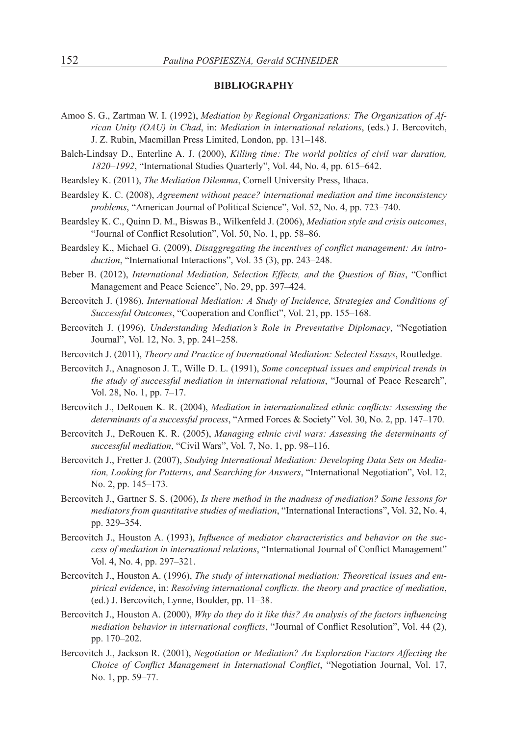#### **BIBLIOGRAPHY**

- Amoo S. G., Zartman W. I. (1992), *Mediation by Regional Organizations: The Organization of African Unity (OAU) in Chad*, in: *Mediation in international relations*, (eds.) J. Bercovitch, J. Z. Rubin, Macmillan Press Limited, London, pp. 131–148.
- Balch-Lindsay D., Enterline A. J. (2000), *Killing time: The world politics of civil war duration, 1820–1992*, "International Studies Quarterly", Vol. 44, No. 4, pp. 615–642.
- Beardsley K. (2011), *The Mediation Dilemma*, Cornell University Press, Ithaca.
- Beardsley K. C. (2008), *Agreement without peace? international mediation and time inconsistency problems*, "American Journal of Political Science", Vol. 52, No. 4, pp. 723–740.
- Beardsley K. C., Quinn D. M., Biswas B., Wilkenfeld J. (2006), *Mediation style and crisis outcomes*, "Journal of Conflict Resolution", Vol. 50, No. 1, pp. 58–86.
- Beardsley K., Michael G. (2009), *Disaggregating the incentives of conflict management: An introduction*, "International Interactions", Vol. 35 (3), pp. 243–248.
- Beber B. (2012), *International Mediation, Selection Effects, and the Question of Bias*, "Conflict Management and Peace Science", No. 29, pp. 397–424.
- Bercovitch J. (1986), *International Mediation: A Study of Incidence, Strategies and Conditions of Successful Outcomes*, "Cooperation and Conflict", Vol. 21, pp. 155–168.
- Bercovitch J. (1996), *Understanding Mediation's Role in Preventative Diplomacy*, "Negotiation Journal", Vol. 12, No. 3, pp. 241–258.
- Bercovitch J. (2011), *Theory and Practice of International Mediation: Selected Essays*, Routledge.
- Bercovitch J., Anagnoson J. T., Wille D. L. (1991), *Some conceptual issues and empirical trends in the study of successful mediation in international relations*, "Journal of Peace Research", Vol. 28, No. 1, pp. 7–17.
- Bercovitch J., DeRouen K. R. (2004), *Mediation in internationalized ethnic conflicts: Assessing the determinants of a successful process*, "Armed Forces & Society" Vol. 30, No. 2, pp. 147–170.
- Bercovitch J., DeRouen K. R. (2005), *Managing ethnic civil wars: Assessing the determinants of successful mediation*, "Civil Wars", Vol. 7, No. 1, pp. 98–116.
- Bercovitch J., Fretter J. (2007), *Studying International Mediation: Developing Data Sets on Mediation, Looking for Patterns, and Searching for Answers*, "International Negotiation", Vol. 12, No. 2, pp. 145–173.
- Bercovitch J., Gartner S. S. (2006), *Is there method in the madness of mediation? Some lessons for mediators from quantitative studies of mediation*, "International Interactions", Vol. 32, No. 4, pp. 329–354.
- Bercovitch J., Houston A. (1993), *Influence of mediator characteristics and behavior on the success of mediation in international relations*, "International Journal of Conflict Management" Vol. 4, No. 4, pp. 297–321.
- Bercovitch J., Houston A. (1996), *The study of international mediation: Theoretical issues and empirical evidence*, in: *Resolving international conflicts. the theory and practice of mediation*, (ed.) J. Bercovitch, Lynne, Boulder, pp. 11–38.
- Bercovitch J., Houston A. (2000), *Why do they do it like this? An analysis of the factors influencing mediation behavior in international conflicts*, "Journal of Conflict Resolution", Vol. 44 (2), pp. 170–202.
- Bercovitch J., Jackson R. (2001), *Negotiation or Mediation? An Exploration Factors Affecting the Choice of Conflict Management in International Conflict*, "Negotiation Journal, Vol. 17, No. 1, pp. 59–77.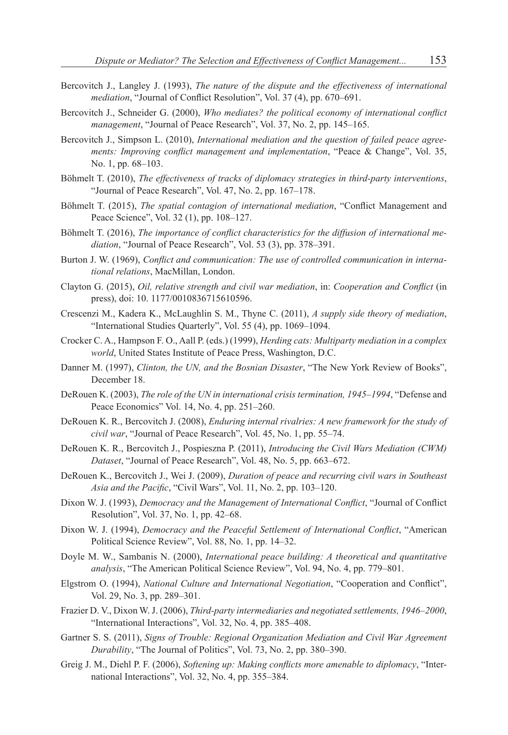- Bercovitch J., Langley J. (1993), *The nature of the dispute and the effectiveness of international mediation*, "Journal of Conflict Resolution", Vol. 37 (4), pp. 670–691.
- Bercovitch J., Schneider G. (2000), *Who mediates? the political economy of international conflict management*, "Journal of Peace Research", Vol. 37, No. 2, pp. 145–165.
- Bercovitch J., Simpson L. (2010), *International mediation and the question of failed peace agreements: Improving conflict management and implementation*, "Peace & Change", Vol. 35, No. 1, pp. 68–103.
- Böhmelt T. (2010), *The effectiveness of tracks of diplomacy strategies in third-party interventions*, "Journal of Peace Research", Vol. 47, No. 2, pp. 167–178.
- Böhmelt T. (2015), *The spatial contagion of international mediation*, "Conflict Management and Peace Science", Vol. 32 (1), pp. 108–127.
- Böhmelt T. (2016), *The importance of conflict characteristics for the diffusion of international mediation*, "Journal of Peace Research", Vol. 53 (3), pp. 378–391.
- Burton J. W. (1969), *Conflict and communication: The use of controlled communication in international relations*, MacMillan, London.
- Clayton G. (2015), *Oil, relative strength and civil war mediation*, in: *Cooperation and Conflict* (in press), doi: 10. 1177/0010836715610596.
- Crescenzi M., Kadera K., McLaughlin S. M., Thyne C. (2011), *A supply side theory of mediation*, "International Studies Quarterly", Vol. 55 (4), pp. 1069–1094.
- Crocker C. A., Hampson F. O., Aall P. (eds.) (1999), *Herding cats: Multiparty mediation in a complex world*, United States Institute of Peace Press, Washington, D.C.
- Danner M. (1997), *Clinton, the UN, and the Bosnian Disaster*, "The New York Review of Books", December 18.
- DeRouen K. (2003), *The role of the UN in international crisis termination, 1945–1994*, "Defense and Peace Economics" Vol. 14, No. 4, pp. 251–260.
- DeRouen K. R., Bercovitch J. (2008), *Enduring internal rivalries: A new framework for the study of civil war*, "Journal of Peace Research", Vol. 45, No. 1, pp. 55–74.
- DeRouen K. R., Bercovitch J., Pospieszna P. (2011), *Introducing the Civil Wars Mediation (CWM) Dataset*, "Journal of Peace Research", Vol. 48, No. 5, pp. 663–672.
- DeRouen K., Bercovitch J., Wei J. (2009), *Duration of peace and recurring civil wars in Southeast Asia and the Pacific*, "Civil Wars", Vol. 11, No. 2, pp. 103–120.
- Dixon W. J. (1993), *Democracy and the Management of International Conflict*, "Journal of Conflict Resolution", Vol. 37, No. 1, pp. 42–68.
- Dixon W. J. (1994), *Democracy and the Peaceful Settlement of International Conflict*, "American Political Science Review", Vol. 88, No. 1, pp. 14–32.
- Doyle M. W., Sambanis N. (2000), *International peace building: A theoretical and quantitative analysis*, "The American Political Science Review", Vol. 94, No. 4, pp. 779–801.
- Elgstrom O. (1994), *National Culture and International Negotiation*, "Cooperation and Conflict", Vol. 29, No. 3, pp. 289–301.
- Frazier D. V., Dixon W. J. (2006), *Third-party intermediaries and negotiated settlements, 1946–2000*, "International Interactions", Vol. 32, No. 4, pp. 385–408.
- Gartner S. S. (2011), *Signs of Trouble: Regional Organization Mediation and Civil War Agreement Durability*, "The Journal of Politics", Vol. 73, No. 2, pp. 380–390.
- Greig J. M., Diehl P. F. (2006), *Softening up: Making conflicts more amenable to diplomacy*, "International Interactions", Vol. 32, No. 4, pp. 355–384.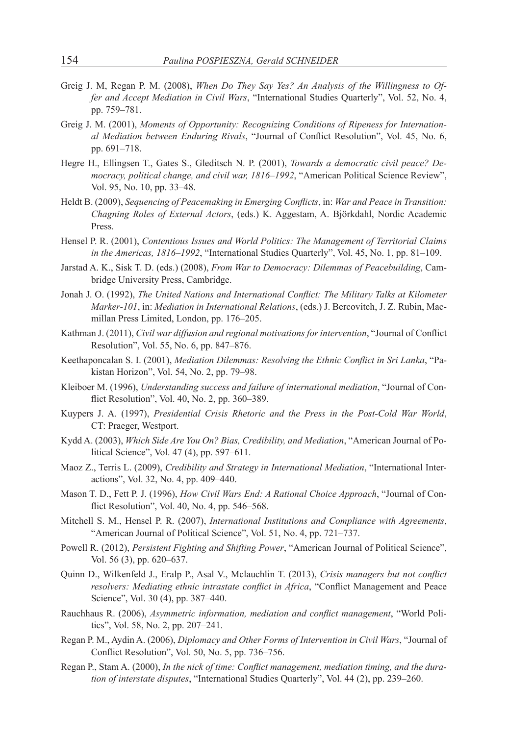- Greig J. M, Regan P. M. (2008), *When Do They Say Yes? An Analysis of the Willingness to Offer and Accept Mediation in Civil Wars*, "International Studies Quarterly", Vol. 52, No. 4, pp. 759–781.
- Greig J. M. (2001), *Moments of Opportunity: Recognizing Conditions of Ripeness for International Mediation between Enduring Rivals*, "Journal of Conflict Resolution", Vol. 45, No. 6, pp. 691–718.
- Hegre H., Ellingsen T., Gates S., Gleditsch N. P. (2001), *Towards a democratic civil peace? Democracy, political change, and civil war, 1816–1992*, "American Political Science Review", Vol. 95, No. 10, pp. 33–48.
- Heldt B. (2009), *Sequencing of Peacemaking in Emerging Conflicts*, in: *War and Peace in Transition: Chagning Roles of External Actors*, (eds.) K. Aggestam, A. Björkdahl, Nordic Academic Press.
- Hensel P. R. (2001), *Contentious Issues and World Politics: The Management of Territorial Claims in the Americas, 1816–1992*, "International Studies Quarterly", Vol. 45, No. 1, pp. 81–109.
- Jarstad A. K., Sisk T. D. (eds.) (2008), *From War to Democracy: Dilemmas of Peacebuilding*, Cambridge University Press, Cambridge.
- Jonah J. O. (1992), *The United Nations and International Conflict: The Military Talks at Kilometer Marker-101*, in: *Mediation in International Relations*, (eds.) J. Bercovitch, J. Z. Rubin, Macmillan Press Limited, London, pp. 176–205.
- Kathman J. (2011), *Civil war diffusion and regional motivations for intervention*, "Journal of Conflict Resolution", Vol. 55, No. 6, pp. 847–876.
- Keethaponcalan S. I. (2001), *Mediation Dilemmas: Resolving the Ethnic Conflict in Sri Lanka*, "Pakistan Horizon", Vol. 54, No. 2, pp. 79–98.
- Kleiboer M. (1996), *Understanding success and failure of international mediation*, "Journal of Conflict Resolution", Vol. 40, No. 2, pp. 360–389.
- Kuypers J. A. (1997), *Presidential Crisis Rhetoric and the Press in the Post-Cold War World*, CT: Praeger, Westport.
- Kydd A. (2003), *Which Side Are You On? Bias, Credibility, and Mediation*, "American Journal of Political Science", Vol. 47 (4), pp. 597–611.
- Maoz Z., Terris L. (2009), *Credibility and Strategy in International Mediation*, "International Interactions", Vol. 32, No. 4, pp. 409–440.
- Mason T. D., Fett P. J. (1996), *How Civil Wars End: A Rational Choice Approach*, "Journal of Conflict Resolution", Vol. 40, No. 4, pp. 546–568.
- Mitchell S. M., Hensel P. R. (2007), *International Institutions and Compliance with Agreements*, "American Journal of Political Science", Vol. 51, No. 4, pp. 721–737.
- Powell R. (2012), *Persistent Fighting and Shifting Power*, "American Journal of Political Science", Vol. 56 (3), pp. 620–637.
- Quinn D., Wilkenfeld J., Eralp P., Asal V., Mclauchlin T. (2013), *Crisis managers but not conflict resolvers: Mediating ethnic intrastate conflict in Africa*, "Conflict Management and Peace Science", Vol. 30 (4), pp. 387–440.
- Rauchhaus R. (2006), *Asymmetric information, mediation and conflict management*, "World Politics", Vol. 58, No. 2, pp. 207–241.
- Regan P. M., Aydin A. (2006), *Diplomacy and Other Forms of Intervention in Civil Wars*, "Journal of Conflict Resolution", Vol. 50, No. 5, pp. 736–756.
- Regan P., Stam A. (2000), *In the nick of time: Conflict management, mediation timing, and the duration of interstate disputes*, "International Studies Quarterly", Vol. 44 (2), pp. 239–260.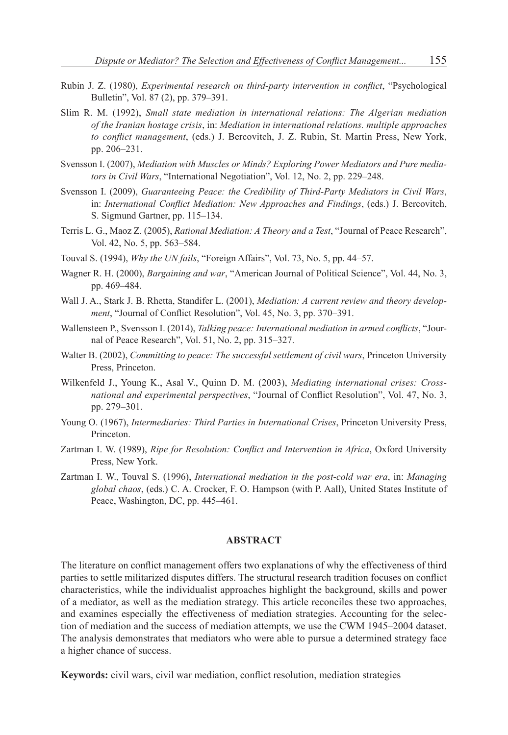- Rubin J. Z. (1980), *Experimental research on third-party intervention in conflict*, "Psychological Bulletin", Vol. 87 (2), pp. 379–391.
- Slim R. M. (1992), *Small state mediation in international relations: The Algerian mediation of the Iranian hostage crisis*, in: *Mediation in international relations. multiple approaches to conflict management*, (eds.) J. Bercovitch, J. Z. Rubin, St. Martin Press, New York, pp. 206–231.
- Svensson I. (2007), *Mediation with Muscles or Minds? Exploring Power Mediators and Pure mediators in Civil Wars*, "International Negotiation", Vol. 12, No. 2, pp. 229–248.
- Svensson I. (2009), *Guaranteeing Peace: the Credibility of Third-Party Mediators in Civil Wars*, in: *International Conflict Mediation: New Approaches and Findings*, (eds.) J. Bercovitch, S. Sigmund Gartner, pp. 115–134.
- Terris L. G., Maoz Z. (2005), *Rational Mediation: A Theory and a Test*, "Journal of Peace Research", Vol. 42, No. 5, pp. 563–584.
- Touval S. (1994), *Why the UN fails*, "Foreign Affairs", Vol. 73, No. 5, pp. 44–57.
- Wagner R. H. (2000), *Bargaining and war*, "American Journal of Political Science", Vol. 44, No. 3, pp. 469–484.
- Wall J. A., Stark J. B. Rhetta, Standifer L. (2001), *Mediation: A current review and theory development*, "Journal of Conflict Resolution", Vol. 45, No. 3, pp. 370–391.
- Wallensteen P., Svensson I. (2014), *Talking peace: International mediation in armed conflicts*, "Journal of Peace Research", Vol. 51, No. 2, pp. 315–327.
- Walter B. (2002), *Committing to peace: The successful settlement of civil wars*, Princeton University Press, Princeton.
- Wilkenfeld J., Young K., Asal V., Quinn D. M. (2003), *Mediating international crises: Crossnational and experimental perspectives*, "Journal of Conflict Resolution", Vol. 47, No. 3, pp. 279–301.
- Young O. (1967), *Intermediaries: Third Parties in International Crises*, Princeton University Press, Princeton.
- Zartman I. W. (1989), *Ripe for Resolution: Conflict and Intervention in Africa*, Oxford University Press, New York.
- Zartman I. W., Touval S. (1996), *International mediation in the post-cold war era*, in: *Managing global chaos*, (eds.) C. A. Crocker, F. O. Hampson (with P. Aall), United States Institute of Peace, Washington, DC, pp. 445–461.

#### **ABSTRACT**

The literature on conflict management offers two explanations of why the effectiveness of third parties to settle militarized disputes differs. The structural research tradition focuses on conflict characteristics, while the individualist approaches highlight the background, skills and power of a mediator, as well as the mediation strategy. This article reconciles these two approaches, and examines especially the effectiveness of mediation strategies. Accounting for the selection of mediation and the success of mediation attempts, we use the CWM 1945–2004 dataset. The analysis demonstrates that mediators who were able to pursue a determined strategy face a higher chance of success.

**Keywords:** civil wars, civil war mediation, conflict resolution, mediation strategies